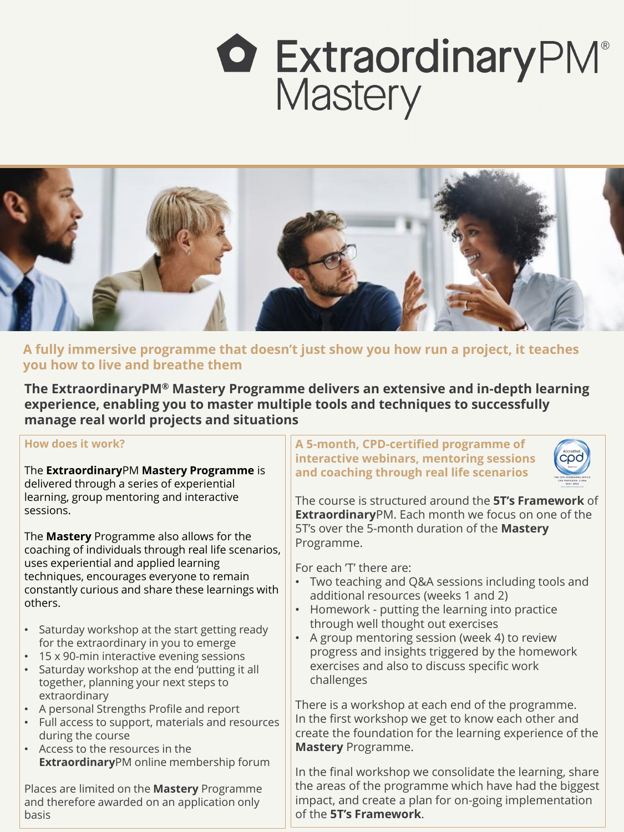additional resources (weeks 1 and 2)

- Homework putting the learning into practice through well thought out exercises
- A group mentoring session (week 4) to review progress and insights triggered by the homework exercises and also to discuss specific work challenges

There is a workshop at each end of the programme. In the first workshop we get to know each other and create the foundation for the learning experience of the **Mastery** Programme.

| <b>How does it work?</b>                                                                                 | A 5-month, CPD-certified programme of<br>Accredited<br>cod<br>interactive webinars, mentoring sessions              |
|----------------------------------------------------------------------------------------------------------|---------------------------------------------------------------------------------------------------------------------|
| The ExtraordinaryPM Mastery Programme is<br>delivered through a series of experiential                   | and coaching through real life scenarios                                                                            |
| learning, group mentoring and interactive<br>sessions.                                                   | The course is structured around the 5T's Framework of<br><b>Extraordinary PM.</b> Each month we focus on one of the |
| The <b>Mastery</b> Programme also allows for the<br>coaching of individuals through real life scenarios, | 5T's over the 5-month duration of the Mastery<br>Programme.                                                         |
| uses experiential and applied learning<br>techniques, encourages everyone to remain                      | For each 'T' there are:<br>$\bullet$ Two teaching and $\Omega$ . cessions including tools and                       |

 $\|\cdot\|$  Two teaching and Q&A sessions including tools and

In the final workshop we consolidate the learning, share the areas of the programme which have had the biggest impact, and create a plan for on-going implementation of the **5T's Framework**.

**The ExtraordinaryPM® Mastery Programme delivers an extensive and in-depth learning experience, enabling you to master multiple tools and techniques to successfully manage real world projects and situations**

# **O ExtraordinaryPM**® Mastery



**A fully immersive programme that doesn't just show you how run a project, it teaches you how to live and breathe them**

constantly curious and share these learnings with others.

- Saturday workshop at the start getting ready for the extraordinary in you to emerge
- 15 x 90-min interactive evening sessions
- Saturday workshop at the end 'putting it all together, planning your next steps to extraordinary
- A personal Strengths Profile and report
- Full access to support, materials and resources during the course
- Access to the resources in the **Extraordinary**PM online membership forum

Places are limited on the **Mastery** Programme and therefore awarded on an application only basis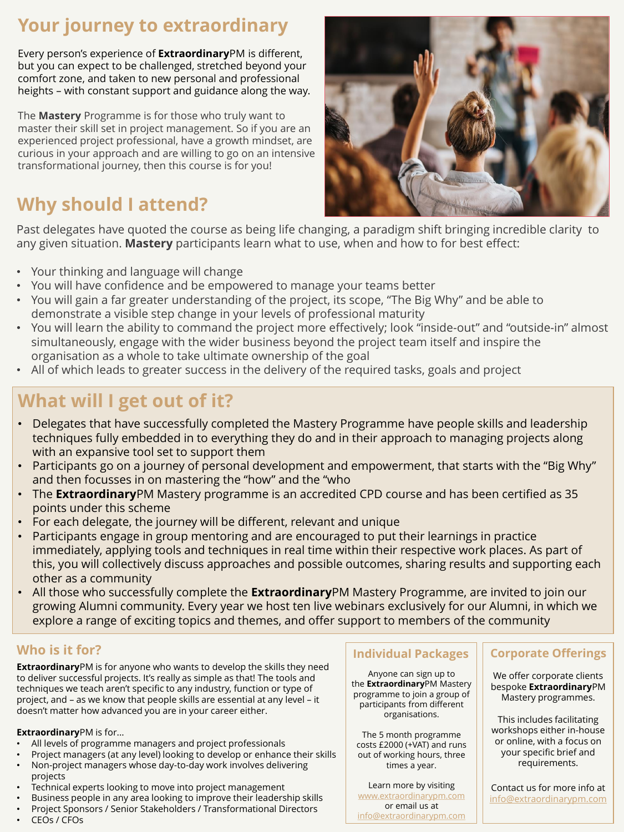# **Your journey to extraordinary**

Every person's experience of **Extraordinary**PM is different, but you can expect to be challenged, stretched beyond your comfort zone, and taken to new personal and professional heights – with constant support and guidance along the way.

The **Mastery** Programme is for those who truly want to master their skill set in project management. So if you are an experienced project professional, have a growth mindset, are curious in your approach and are willing to go on an intensive transformational journey, then this course is for you!

**Extraordinary**PM is for anyone who wants to develop the skills they need to deliver successful projects. It's really as simple as that! The tools and techniques we teach aren't specific to any industry, function or type of project, and – as we know that people skills are essential at any level – it doesn't matter how advanced you are in your career either.

### **Extraordinary**PM is for...

- All levels of programme managers and project professionals
- Project managers (at any level) looking to develop or enhance their skills
- Non-project managers whose day-to-day work involves delivering projects
- Technical experts looking to move into project management
- Business people in any area looking to improve their leadership skills
- Project Sponsors / Senior Stakeholders / Transformational Directors
- CEOs / CFOs

### **Individual Packages | Corporate Offerings**

## **Who is it for?**

Anyone can sign up to the **Extraordinary**PM Mastery programme to join a group of participants from different organisations.

The 5 month programme costs £2000 (+VAT) and runs out of working hours, three times a year.

Learn more by visiting [www.extraordinarypm.com](http://www.extraordinarypm.com/) or email us at [info@extraordinarypm.com](mailto:info@extraordinarypm.com)

We offer corporate clients bespoke **Extraordinary**PM Mastery programmes.

This includes facilitating workshops either in-house or online, with a focus on your specific brief and requirements.

Contact us for more info at [info@extraordinarypm.com](mailto:info@extraordinarypm.com)

Past delegates have quoted the course as being life changing, a paradigm shift bringing incredible clarity to any given situation. **Mastery** participants learn what to use, when and how to for best effect:

- Your thinking and language will change
- You will have confidence and be empowered to manage your teams better
- You will gain a far greater understanding of the project, its scope, "The Big Why" and be able to demonstrate a visible step change in your levels of professional maturity
- You will learn the ability to command the project more effectively; look "inside-out" and "outside-in" almost simultaneously, engage with the wider business beyond the project team itself and inspire the organisation as a whole to take ultimate ownership of the goal
- All of which leads to greater success in the delivery of the required tasks, goals and project

- Delegates that have successfully completed the Mastery Programme have people skills and leadership techniques fully embedded in to everything they do and in their approach to managing projects along with an expansive tool set to support them
- Participants go on a journey of personal development and empowerment, that starts with the "Big Why" and then focusses in on mastering the "how" and the "who
- The **Extraordinary**PM Mastery programme is an accredited CPD course and has been certified as 35 points under this scheme
- For each delegate, the journey will be different, relevant and unique
- Participants engage in group mentoring and are encouraged to put their learnings in practice immediately, applying tools and techniques in real time within their respective work places. As part of this, you will collectively discuss approaches and possible outcomes, sharing results and supporting each other as a community • All those who successfully complete the **Extraordinary**PM Mastery Programme, are invited to join our growing Alumni community. Every year we host ten live webinars exclusively for our Alumni, in which we explore a range of exciting topics and themes, and offer support to members of the community

# **What will I get out of it?**

# **Why should I attend?**

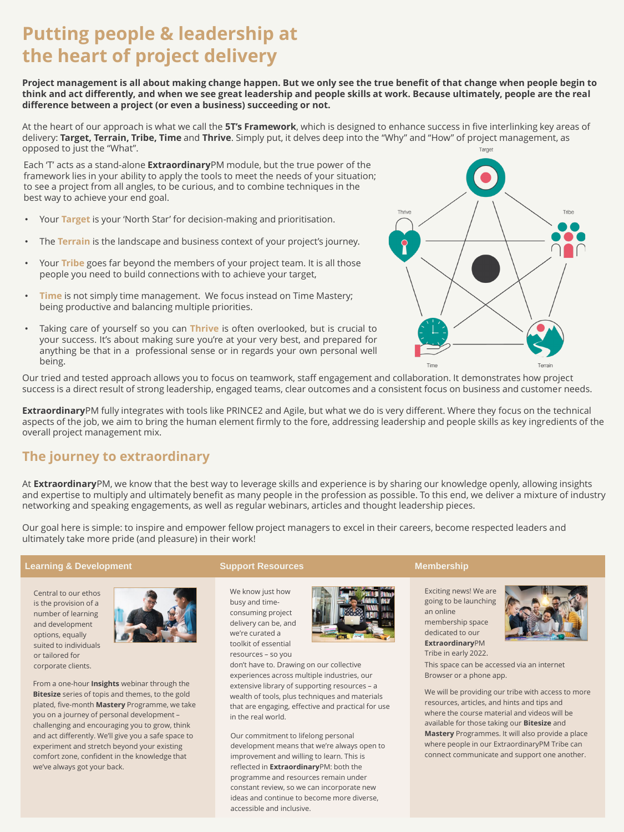# **Putting people & leadership at the heart of project delivery**

At the heart of our approach is what we call the **5T's Framework**, which is designed to enhance success in five interlinking key areas of delivery: **Target, Terrain, Tribe, Time** and **Thrive**. Simply put, it delves deep into the "Why" and "How" of project management, as opposed to just the "What". Target

**Project management is all about making change happen. But we only see the true benefit of that change when people begin to think and act differently, and when we see great leadership and people skills at work. Because ultimately, people are the real difference between a project (or even a business) succeeding or not.**

Our tried and tested approach allows you to focus on teamwork, staff engagement and collaboration. It demonstrates how project success is a direct result of strong leadership, engaged teams, clear outcomes and a consistent focus on business and customer needs.

**Extraordinary**PM fully integrates with tools like PRINCE2 and Agile, but what we do is very different. Where they focus on the technical aspects of the job, we aim to bring the human element firmly to the fore, addressing leadership and people skills as key ingredients of the overall project management mix.

### **The journey to extraordinary**

At **Extraordinary**PM, we know that the best way to leverage skills and experience is by sharing our knowledge openly, allowing insights and expertise to multiply and ultimately benefit as many people in the profession as possible. To this end, we deliver a mixture of industry networking and speaking engagements, as well as regular webinars, articles and thought leadership pieces.

Our goal here is simple: to inspire and empower fellow project managers to excel in their careers, become respected leaders and ultimately take more pride (and pleasure) in their work!



Each 'T' acts as a stand-alone **Extraordinary**PM module, but the true power of the framework lies in your ability to apply the tools to meet the needs of your situation; to see a project from all angles, to be curious, and to combine techniques in the best way to achieve your end goal.

- Your **Target** is your 'North Star' for decision-making and prioritisation.
- The **Terrain** is the landscape and business context of your project's journey.
- Your **Tribe** goes far beyond the members of your project team. It is all those people you need to build connections with to achieve your target,
- **Time** is not simply time management. We focus instead on Time Mastery; being productive and balancing multiple priorities.
- Taking care of yourself so you can **Thrive** is often overlooked, but is crucial to your success. It's about making sure you're at your very best, and prepared for anything be that in a professional sense or in regards your own personal well being.

Central to our ethos is the provision of a number of learning and development options, equally suited to individuals or tailored for corporate clients.



From a one-hour **Insights** webinar through the **Bitesize** series of topis and themes, to the gold plated, five-month **Mastery** Programme, we take you on a journey of personal development – challenging and encouraging you to grow, think and act differently. We'll give you a safe space to experiment and stretch beyond your existing comfort zone, confident in the knowledge that we've always got your back.

We know just how busy and timeconsuming project delivery can be, and we're curated a toolkit of essential resources – so you



don't have to. Drawing on our collective experiences across multiple industries, our extensive library of supporting resources – a wealth of tools, plus techniques and materials that are engaging, effective and practical for use in the real world.

Our commitment to lifelong personal development means that we're always open to improvement and willing to learn. This is reflected in **Extraordinary**PM: both the programme and resources remain under constant review, so we can incorporate new ideas and continue to become more diverse, accessible and inclusive.

Exciting news! We are going to be launching an online membership space dedicated to our **Extraordinary**PM Tribe in early 2022.



We will be providing our tribe with access to more resources, articles, and hints and tips and where the course material and videos will be available for those taking our **Bitesize** and **Mastery** Programmes. It will also provide a place where people in our ExtraordinaryPM Tribe can connect communicate and support one another.